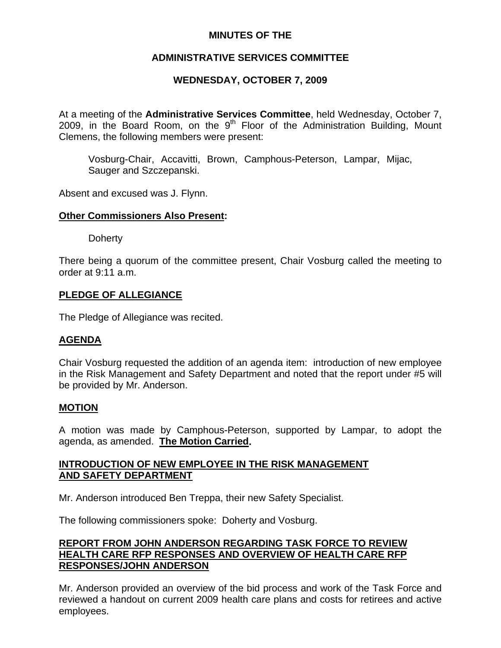## **MINUTES OF THE**

# **ADMINISTRATIVE SERVICES COMMITTEE**

# **WEDNESDAY, OCTOBER 7, 2009**

At a meeting of the **Administrative Services Committee**, held Wednesday, October 7, 2009, in the Board Room, on the  $9<sup>th</sup>$  Floor of the Administration Building, Mount Clemens, the following members were present:

Vosburg-Chair, Accavitti, Brown, Camphous-Peterson, Lampar, Mijac, Sauger and Szczepanski.

Absent and excused was J. Flynn.

### **Other Commissioners Also Present:**

**Doherty** 

There being a quorum of the committee present, Chair Vosburg called the meeting to order at 9:11 a.m.

## **PLEDGE OF ALLEGIANCE**

The Pledge of Allegiance was recited.

#### **AGENDA**

Chair Vosburg requested the addition of an agenda item: introduction of new employee in the Risk Management and Safety Department and noted that the report under #5 will be provided by Mr. Anderson.

#### **MOTION**

A motion was made by Camphous-Peterson, supported by Lampar, to adopt the agenda, as amended. **The Motion Carried.** 

## **INTRODUCTION OF NEW EMPLOYEE IN THE RISK MANAGEMENT AND SAFETY DEPARTMENT**

Mr. Anderson introduced Ben Treppa, their new Safety Specialist.

The following commissioners spoke: Doherty and Vosburg.

### **REPORT FROM JOHN ANDERSON REGARDING TASK FORCE TO REVIEW HEALTH CARE RFP RESPONSES AND OVERVIEW OF HEALTH CARE RFP RESPONSES/JOHN ANDERSON**

Mr. Anderson provided an overview of the bid process and work of the Task Force and reviewed a handout on current 2009 health care plans and costs for retirees and active employees.